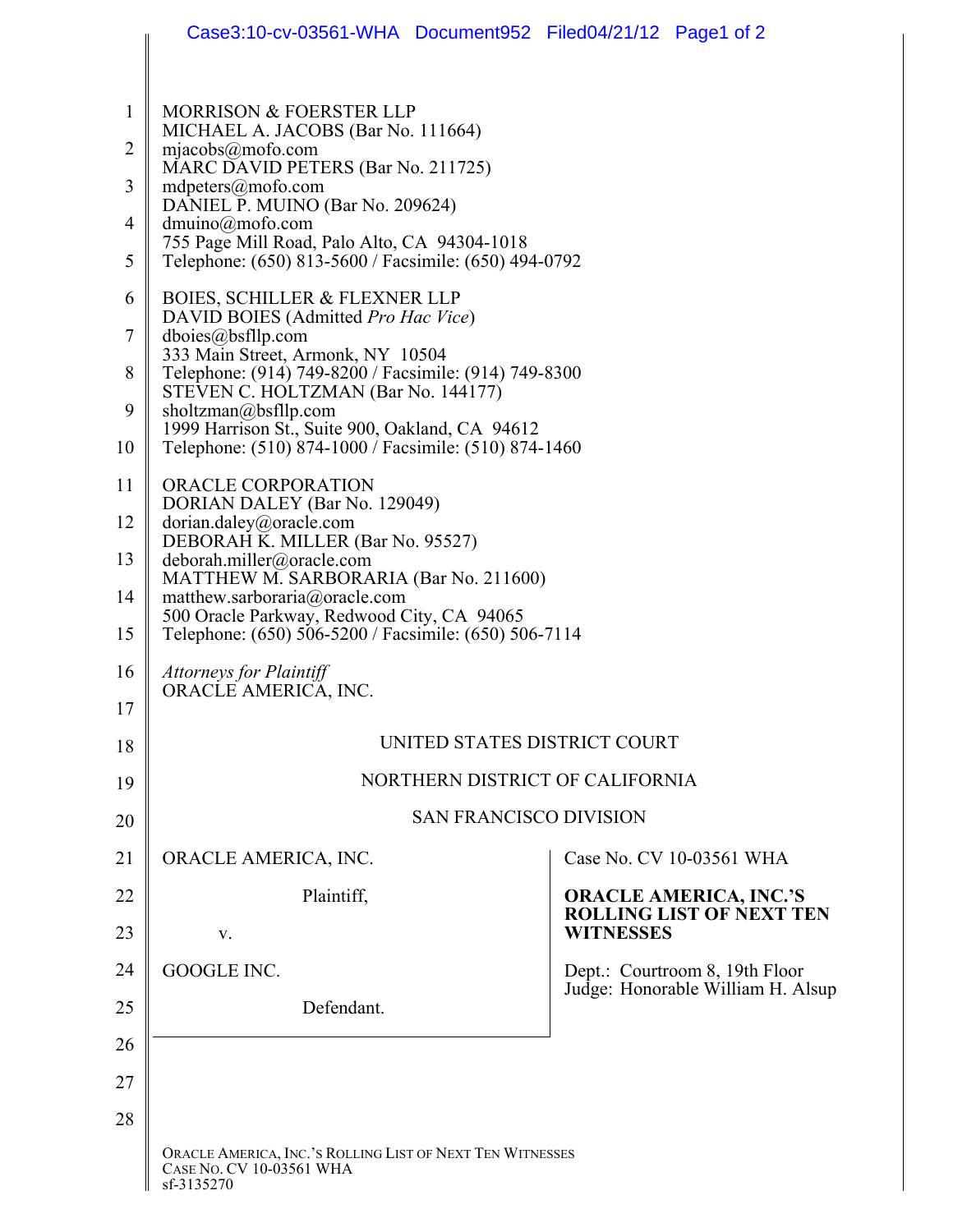|                | Case3:10-cv-03561-WHA Document952 Filed04/21/12 Page1 of 2                                                                                                                                                                       |                                                     |  |  |
|----------------|----------------------------------------------------------------------------------------------------------------------------------------------------------------------------------------------------------------------------------|-----------------------------------------------------|--|--|
|                |                                                                                                                                                                                                                                  |                                                     |  |  |
| $\mathbf{1}$   | <b>MORRISON &amp; FOERSTER LLP</b>                                                                                                                                                                                               |                                                     |  |  |
| $\overline{2}$ | MICHAEL A. JACOBS (Bar No. 111664)<br>mjaecobs@mofo.com                                                                                                                                                                          |                                                     |  |  |
| 3              | MARC DAVID PETERS (Bar No. 211725)<br>mdpeters@mofo.com                                                                                                                                                                          |                                                     |  |  |
| 4              | DANIEL P. MUINO (Bar No. 209624)<br>dmuino@mofo.com                                                                                                                                                                              |                                                     |  |  |
| 5              | 755 Page Mill Road, Palo Alto, CA 94304-1018<br>Telephone: (650) 813-5600 / Facsimile: (650) 494-0792                                                                                                                            |                                                     |  |  |
| 6              | <b>BOIES, SCHILLER &amp; FLEXNER LLP</b><br>DAVID BOIES (Admitted Pro Hac Vice)                                                                                                                                                  |                                                     |  |  |
| $\overline{7}$ | dboies@bsfllp.com<br>333 Main Street, Armonk, NY 10504                                                                                                                                                                           |                                                     |  |  |
| 8              | Telephone: (914) 749-8200 / Facsimile: (914) 749-8300<br>STEVEN C. HOLTZMAN (Bar No. 144177)<br>sholtzman@bsfllp.com<br>1999 Harrison St., Suite 900, Oakland, CA 94612<br>Telephone: (510) 874-1000 / Facsimile: (510) 874-1460 |                                                     |  |  |
| 9              |                                                                                                                                                                                                                                  |                                                     |  |  |
| 10             |                                                                                                                                                                                                                                  |                                                     |  |  |
| 11             | ORACLE CORPORATION<br>DORIAN DALEY (Bar No. 129049)                                                                                                                                                                              |                                                     |  |  |
| 12             | dorian.daley@oracle.com<br>DEBORAH K. MILLER (Bar No. 95527)                                                                                                                                                                     |                                                     |  |  |
| 13             | deborah.miller@oracle.com<br>MATTHEW M. SARBORARIA (Bar No. 211600)                                                                                                                                                              |                                                     |  |  |
| 14             | matthew.sarboraria@oracle.com<br>500 Oracle Parkway, Redwood City, CA 94065                                                                                                                                                      |                                                     |  |  |
| 15             | Telephone: (650) 506-5200 / Facsimile: (650) 506-7114                                                                                                                                                                            |                                                     |  |  |
| 16             | Attorneys for Plaintiff<br>ORACLE AMERICA, INC.                                                                                                                                                                                  |                                                     |  |  |
| 17             |                                                                                                                                                                                                                                  |                                                     |  |  |
| 18<br>19       | UNITED STATES DISTRICT COURT<br>NORTHERN DISTRICT OF CALIFORNIA                                                                                                                                                                  |                                                     |  |  |
| 20             | <b>SAN FRANCISCO DIVISION</b>                                                                                                                                                                                                    |                                                     |  |  |
| 21             | ORACLE AMERICA, INC.                                                                                                                                                                                                             | Case No. CV 10-03561 WHA                            |  |  |
| 22             | Plaintiff,                                                                                                                                                                                                                       | <b>ORACLE AMERICA, INC.'S</b>                       |  |  |
| 23             | $V_{\cdot}$                                                                                                                                                                                                                      | <b>ROLLING LIST OF NEXT TEN</b><br><b>WITNESSES</b> |  |  |
| 24             | <b>GOOGLE INC.</b>                                                                                                                                                                                                               | Dept.: Courtroom 8, 19th Floor                      |  |  |
| 25             | Defendant.                                                                                                                                                                                                                       | Judge: Honorable William H. Alsup                   |  |  |
| 26             |                                                                                                                                                                                                                                  |                                                     |  |  |
| 27             |                                                                                                                                                                                                                                  |                                                     |  |  |
| 28             |                                                                                                                                                                                                                                  |                                                     |  |  |
|                | ORACLE AMERICA, INC.'S ROLLING LIST OF NEXT TEN WITNESSES<br>CASE NO. CV 10-03561 WHA<br>sf-3135270                                                                                                                              |                                                     |  |  |